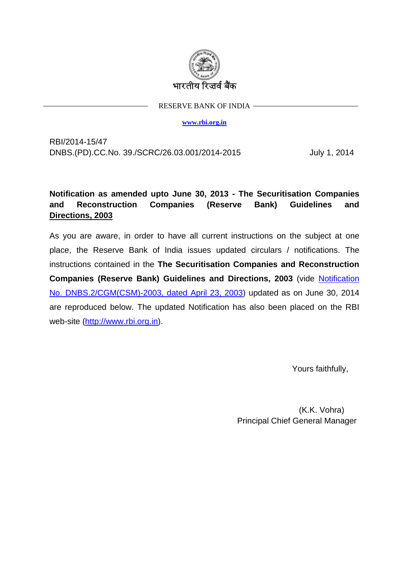

RESERVE BANK OF INDIA

**[www.rbi.org.in](http://www.rbi.org.in/)**

RBI/2014-15/47 DNBS.(PD).CC.No. 39./SCRC/26.03.001/2014-2015 July 1, 2014

# **Notification as amended upto June 30, 2013 - The Securitisation Companies and Reconstruction Companies (Reserve Bank) Guidelines and Directions, 2003**

As you are aware, in order to have all current instructions on the subject at one place, the Reserve Bank of India issues updated circulars / notifications. The instructions contained in the **The Securitisation Companies and Reconstruction Companies (Reserve Bank) Guidelines and Directions, 2003** (vide [Notification](http://www.rbi.org.in/scripts/NotificationUser.aspx?Id=1145&Mode=0)  [No. DNBS.2/CGM\(CSM\)-2003, dated April 23, 2003\)](http://www.rbi.org.in/scripts/NotificationUser.aspx?Id=1145&Mode=0) updated as on June 30, 2014 are reproduced below. The updated Notification has also been placed on the RBI web-site [\(http://www.rbi.org.in\)](http://www.rbi.org.in/).

Yours faithfully,

 (K.K. Vohra) Principal Chief General Manager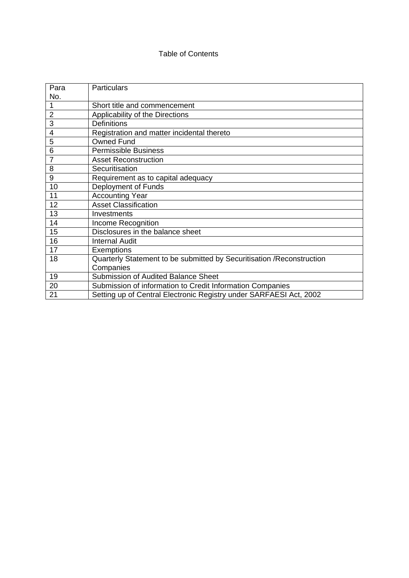## Table of Contents

| Para           | <b>Particulars</b>                                                     |
|----------------|------------------------------------------------------------------------|
| No.            |                                                                        |
|                | Short title and commencement                                           |
| $\overline{2}$ | Applicability of the Directions                                        |
| 3              | <b>Definitions</b>                                                     |
| 4              | Registration and matter incidental thereto                             |
| 5              | <b>Owned Fund</b>                                                      |
| 6              | <b>Permissible Business</b>                                            |
| $\overline{7}$ | <b>Asset Reconstruction</b>                                            |
| 8              | Securitisation                                                         |
| 9              | Requirement as to capital adequacy                                     |
| 10             | Deployment of Funds                                                    |
| 11             | <b>Accounting Year</b>                                                 |
| 12             | <b>Asset Classification</b>                                            |
| 13             | Investments                                                            |
| 14             | Income Recognition                                                     |
| 15             | Disclosures in the balance sheet                                       |
| 16             | <b>Internal Audit</b>                                                  |
| 17             | <b>Exemptions</b>                                                      |
| 18             | Quarterly Statement to be submitted by Securitisation / Reconstruction |
|                | Companies                                                              |
| 19             | <b>Submission of Audited Balance Sheet</b>                             |
| 20             | Submission of information to Credit Information Companies              |
| 21             | Setting up of Central Electronic Registry under SARFAESI Act, 2002     |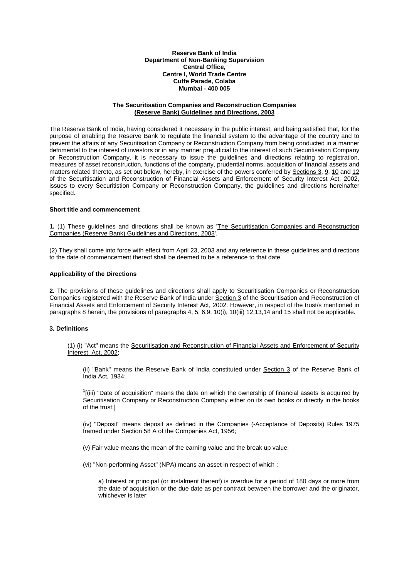**Reserve Bank of India Department of Non-Banking Supervision Central Office, Centre I, World Trade Centre Cuffe Parade, Colaba Mumbai - 400 005** 

#### **The Securitisation Companies and Reconstruction Companies (Reserve Bank) Guidelines and Directions, 2003**

The Reserve Bank of India, having considered it necessary in the public interest, and being satisfied that, for the purpose of enabling the Reserve Bank to regulate the financial system to the advantage of the country and to prevent the affairs of any Securitisation Company or Reconstruction Company from being conducted in a manner detrimental to the interest of investors or in any manner prejudicial to the interest of such Securitisation Company or Reconstruction Company, it is necessary to issue the guidelines and directions relating to registration, measures of asset reconstruction, functions of the company, prudential norms, acquisition of financial assets and matters related thereto, as set out below, hereby, in exercise of the powers conferred by Sections 3, 9, 10 and 12 of the Securitisation and Reconstruction of Financial Assets and Enforcement of Security Interest Act, 2002, issues to every Securitistion Company or Reconstruction Company, the guidelines and directions hereinafter specified.

#### **Short title and commencement**

**1.** (1) These guidelines and directions shall be known as 'The Securitisation Companies and Reconstruction Companies (Reserve Bank) Guidelines and Directions, 2003'.

(2) They shall come into force with effect from April 23, 2003 and any reference in these guidelines and directions to the date of commencement thereof shall be deemed to be a reference to that date.

#### **Applicability of the Directions**

**2.** The provisions of these guidelines and directions shall apply to Securitisation Companies or Reconstruction Companies registered with the Reserve Bank of India under Section 3 of the Securitisation and Reconstruction of Financial Assets and Enforcement of Security Interest Act, 2002. However, in respect of the trust/s mentioned in paragraphs 8 herein, the provisions of paragraphs 4, 5, 6,9, 10(i), 10(iii) 12,13,14 and 15 shall not be applicable.

## **3. Definitions**

(1) (i) "Act" means the Securitisation and Reconstruction of Financial Assets and Enforcement of Security Interest Act, 2002;

(ii) "Bank" means the Reserve Bank of India constituted under Section 3 of the Reserve Bank of India Act, 1934;

 $^{1}$ [(iii) "Date of acquisition" means the date on which the ownership of financial assets is acquired by Securitisation Company or Reconstruction Company either on its own books or directly in the books of the trust;]

(iv) "Deposit" means deposit as defined in the Companies (-Acceptance of Deposits) Rules 1975 framed under Section 58 A of the Companies Act, 1956;

(v) Fair value means the mean of the earning value and the break up value;

(vi) "Non-performing Asset" (NPA) means an asset in respect of which :

a) Interest or principal (or instalment thereof) is overdue for a period of 180 days or more from the date of acquisition or the due date as per contract between the borrower and the originator, whichever is later;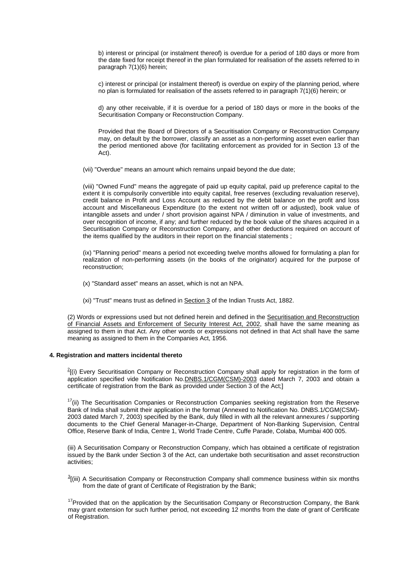b) interest or principal (or instalment thereof) is overdue for a period of 180 days or more from the date fixed for receipt thereof in the plan formulated for realisation of the assets referred to in paragraph 7(1)(6) herein;

c) interest or principal (or instalment thereof) is overdue on expiry of the planning period, where no plan is formulated for realisation of the assets referred to in paragraph 7(1)(6) herein; or

d) any other receivable, if it is overdue for a period of 180 days or more in the books of the Securitisation Company or Reconstruction Company.

Provided that the Board of Directors of a Securitisation Company or Reconstruction Company may, on default by the borrower, classify an asset as a non-performing asset even earlier than the period mentioned above (for facilitating enforcement as provided for in Section 13 of the Act).

(vii) "Overdue" means an amount which remains unpaid beyond the due date;

(viii) "Owned Fund" means the aggregate of paid up equity capital, paid up preference capital to the extent it is compulsorily convertible into equity capital, free reserves (excluding revaluation reserve), credit balance in Profit and Loss Account as reduced by the debit balance on the profit and loss account and Miscellaneous Expenditure (to the extent not written off or adjusted), book value of intangible assets and under / short provision against NPA / diminution in value of investments, and over recognition of income, if any; and further reduced by the book value of the shares acquired in a Securitisation Company or Reconstruction Company, and other deductions required on account of the items qualified by the auditors in their report on the financial statements ;

(ix) "Planning period" means a period not exceeding twelve months allowed for formulating a plan for realization of non-performing assets (in the books of the originator) acquired for the purpose of reconstruction;

- (x) "Standard asset" means an asset, which is not an NPA.
- (xi) "Trust" means trust as defined in Section 3 of the Indian Trusts Act, 1882.

(2) Words or expressions used but not defined herein and defined in the Securitisation and Reconstruction of Financial Assets and Enforcement of Security Interest Act, 2002, shall have the same meaning as assigned to them in that Act. Any other words or expressions not defined in that Act shall have the same meaning as assigned to them in the Companies Act, 1956.

#### **4. Registration and matters incidental thereto**

 $^{2}$ [(i) Every Securitisation Company or Reconstruction Company shall apply for registration in the form of application specified vide Notification No.DNBS.1/CGM(CSM)-2003 dated March 7, 2003 and obtain a certificate of registration from the Bank as provided under Section 3 of the Act;]

 $17$ (ii) The Securitisation Companies or Reconstruction Companies seeking registration from the Reserve Bank of India shall submit their application in the format (Annexed to Notification No. DNBS.1/CGM(CSM)- 2003 dated March 7, 2003) specified by the Bank, duly filled in with all the relevant annexures / supporting documents to the Chief General Manager-in-Charge, Department of Non-Banking Supervision, Central Office, Reserve Bank of India, Centre 1, World Trade Centre, Cuffe Parade, Colaba, Mumbai 400 005.

(iii) A Securitisation Company or Reconstruction Company, which has obtained a certificate of registration issued by the Bank under Section 3 of the Act, can undertake both securitisation and asset reconstruction activities;

 $^{3}$ [(iii) A Securitisation Company or Reconstruction Company shall commence business within six months from the date of grant of Certificate of Registration by the Bank:

<sup>17</sup> Provided that on the application by the Securitisation Company or Reconstruction Company, the Bank may grant extension for such further period, not exceeding 12 months from the date of grant of Certificate of Registration.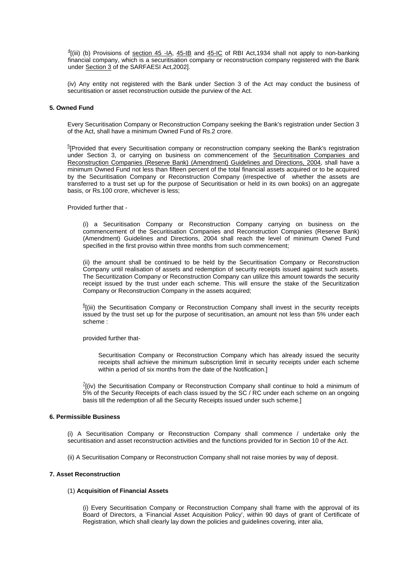$^{4}$ [(iii) (b) Provisions of section 45 -IA, 45-IB and 45-IC of RBI Act,1934 shall not apply to non-banking financial company, which is a securitisation company or reconstruction company registered with the Bank under Section 3 of the SARFAESI Act,2002].

(iv) Any entity not registered with the Bank under Section 3 of the Act may conduct the business of securitisation or asset reconstruction outside the purview of the Act.

#### **5. Owned Fund**

Every Securitisation Company or Reconstruction Company seeking the Bank's registration under Section 3 of the Act, shall have a minimum Owned Fund of Rs.2 crore.

<sup>5</sup>[Provided that every Securitisation company or reconstruction company seeking the Bank's registration under Section 3, or carrying on business on commencement of the Securitisation Companies and Reconstruction Companies (Reserve Bank) (Amendment) Guidelines and Directions, 2004, shall have a minimum Owned Fund not less than fifteen percent of the total financial assets acquired or to be acquired by the Securitisation Company or Reconstruction Company (irrespective of whether the assets are transferred to a trust set up for the purpose of Securitisation or held in its own books) on an aggregate basis, or Rs.100 crore, whichever is less;

Provided further that -

(i) a Securitisation Company or Reconstruction Company carrying on business on the commencement of the Securitisation Companies and Reconstruction Companies (Reserve Bank) (Amendment) Guidelines and Directions, 2004 shall reach the level of minimum Owned Fund specified in the first proviso within three months from such commencement;

(ii) the amount shall be continued to be held by the Securitisation Company or Reconstruction Company until realisation of assets and redemption of security receipts issued against such assets. The Securitization Company or Reconstruction Company can utilize this amount towards the security receipt issued by the trust under each scheme. This will ensure the stake of the Securitization Company or Reconstruction Company in the assets acquired;

 $E$ [(iii) the Securitisation Company or Reconstruction Company shall invest in the security receipts issued by the trust set up for the purpose of securitisation, an amount not less than 5% under each scheme :

provided further that-

Securitisation Company or Reconstruction Company which has already issued the security receipts shall achieve the minimum subscription limit in security receipts under each scheme within a period of six months from the date of the Notification.]

 $^{7}$ [(iv) the Securitisation Company or Reconstruction Company shall continue to hold a minimum of 5% of the Security Receipts of each class issued by the SC / RC under each scheme on an ongoing basis till the redemption of all the Security Receipts issued under such scheme.]

## **6. Permissible Business**

(i) A Securitisation Company or Reconstruction Company shall commence / undertake only the securitisation and asset reconstruction activities and the functions provided for in Section 10 of the Act.

(ii) A Securitisation Company or Reconstruction Company shall not raise monies by way of deposit.

#### **7. Asset Reconstruction**

#### (1) **Acquisition of Financial Assets**

(i) Every Securitisation Company or Reconstruction Company shall frame with the approval of its Board of Directors, a 'Financial Asset Acquisition Policy', within 90 days of grant of Certificate of Registration, which shall clearly lay down the policies and guidelines covering, inter alia,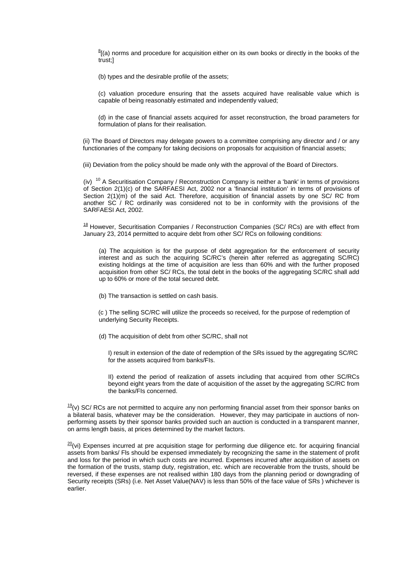$^{8}$ [(a) norms and procedure for acquisition either on its own books or directly in the books of the trust;]

(b) types and the desirable profile of the assets;

(c) valuation procedure ensuring that the assets acquired have realisable value which is capable of being reasonably estimated and independently valued;

(d) in the case of financial assets acquired for asset reconstruction, the broad parameters for formulation of plans for their realisation.

(ii) The Board of Directors may delegate powers to a committee comprising any director and / or any functionaries of the company for taking decisions on proposals for acquisition of financial assets;

(iii) Deviation from the policy should be made only with the approval of the Board of Directors.

(iv)  $10$  A Securitisation Company / Reconstruction Company is neither a 'bank' in terms of provisions of Section 2(1)(c) of the SARFAESI Act, 2002 nor a 'financial institution' in terms of provisions of Section 2(1)(m) of the said Act. Therefore, acquisition of financial assets by one SC/ RC from another SC / RC ordinarily was considered not to be in conformity with the provisions of the SARFAESI Act, 2002.

 $18$  However, Securitisation Companies / Reconstruction Companies (SC/ RCs) are with effect from January 23, 2014 permitted to acquire debt from other SC/ RCs on following conditions:

(a) The acquisition is for the purpose of debt aggregation for the enforcement of security interest and as such the acquiring SC/RC's (herein after referred as aggregating SC/RC) existing holdings at the time of acquisition are less than 60% and with the further proposed acquisition from other SC/ RCs, the total debt in the books of the aggregating SC/RC shall add up to 60% or more of the total secured debt.

(b) The transaction is settled on cash basis.

 (c ) The selling SC/RC will utilize the proceeds so received, for the purpose of redemption of underlying Security Receipts.

(d) The acquisition of debt from other SC/RC, shall not

I) result in extension of the date of redemption of the SRs issued by the aggregating SC/RC for the assets acquired from banks/FIs.

II) extend the period of realization of assets including that acquired from other SC/RCs beyond eight years from the date of acquisition of the asset by the aggregating SC/RC from the banks/FIs concerned.

 $\frac{19}{2}$ (v) SC/ RCs are not permitted to acquire any non performing financial asset from their sponsor banks on a bilateral basis, whatever may be the consideration. However, they may participate in auctions of nonperforming assets by their sponsor banks provided such an auction is conducted in a transparent manner, on arms length basis, at prices determined by the market factors.

 $\frac{20}{10}$  Expenses incurred at pre acquisition stage for performing due diligence etc. for acquiring financial assets from banks/ Fls should be expensed immediately by recognizing the same in the statement of profit and loss for the period in which such costs are incurred. Expenses incurred after acquisition of assets on the formation of the trusts, stamp duty, registration, etc. which are recoverable from the trusts, should be reversed, if these expenses are not realised within 180 days from the planning period or downgrading of Security receipts (SRs) (i.e. Net Asset Value(NAV) is less than 50% of the face value of SRs ) whichever is earlier.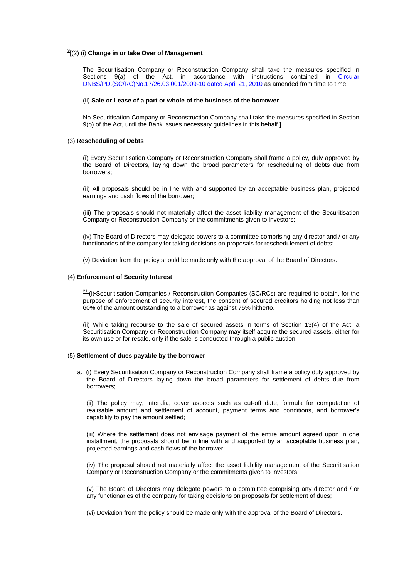## 9 [(2) (i) **Change in or take Over of Management**

The Securitisation Company or Reconstruction Company shall take the measures specified in Sections 9(a) of the Act, in accordance with instructions contained in [Circular](http://www.rbi.org.in/scripts/NotificationUser.aspx?Id=5616&Mode=0)  [DNBS/PD.\(SC/RC\)No.17/26.03.001/2009-10 dated April 21, 2010](http://www.rbi.org.in/scripts/NotificationUser.aspx?Id=5616&Mode=0) as amended from time to time.

#### (ii) **Sale or Lease of a part or whole of the business of the borrower**

No Securitisation Company or Reconstruction Company shall take the measures specified in Section 9(b) of the Act, until the Bank issues necessary guidelines in this behalf.]

#### (3) **Rescheduling of Debts**

(i) Every Securitisation Company or Reconstruction Company shall frame a policy, duly approved by the Board of Directors, laying down the broad parameters for rescheduling of debts due from borrowers;

(ii) All proposals should be in line with and supported by an acceptable business plan, projected earnings and cash flows of the borrower;

(iii) The proposals should not materially affect the asset liability management of the Securitisation Company or Reconstruction Company or the commitments given to investors;

(iv) The Board of Directors may delegate powers to a committee comprising any director and / or any functionaries of the company for taking decisions on proposals for reschedulement of debts;

(v) Deviation from the policy should be made only with the approval of the Board of Directors.

#### (4) **Enforcement of Security Interest**

 $21$ (i)-Securitisation Companies / Reconstruction Companies (SC/RCs) are required to obtain, for the purpose of enforcement of security interest, the consent of secured creditors holding not less than 60% of the amount outstanding to a borrower as against 75% hitherto.

(ii) While taking recourse to the sale of secured assets in terms of Section 13(4) of the Act, a Securitisation Company or Reconstruction Company may itself acquire the secured assets, either for its own use or for resale, only if the sale is conducted through a public auction.

#### (5) **Settlement of dues payable by the borrower**

a. (i) Every Securitisation Company or Reconstruction Company shall frame a policy duly approved by the Board of Directors laying down the broad parameters for settlement of debts due from borrowers;

(ii) The policy may, interalia, cover aspects such as cut-off date, formula for computation of realisable amount and settlement of account, payment terms and conditions, and borrower's capability to pay the amount settled;

(iii) Where the settlement does not envisage payment of the entire amount agreed upon in one installment, the proposals should be in line with and supported by an acceptable business plan, projected earnings and cash flows of the borrower;

(iv) The proposal should not materially affect the asset liability management of the Securitisation Company or Reconstruction Company or the commitments given to investors;

(v) The Board of Directors may delegate powers to a committee comprising any director and / or any functionaries of the company for taking decisions on proposals for settlement of dues;

(vi) Deviation from the policy should be made only with the approval of the Board of Directors.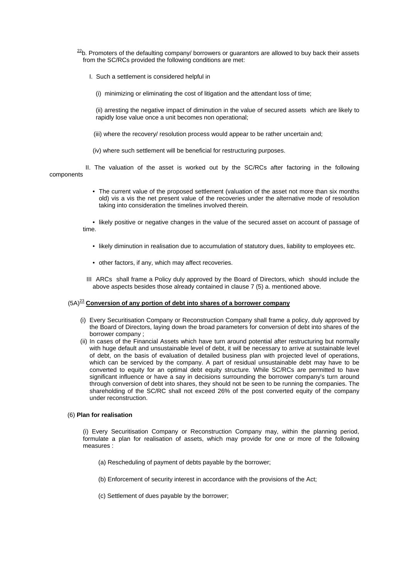- $22$ b. Promoters of the defaulting company/ borrowers or guarantors are allowed to buy back their assets from the SC/RCs provided the following conditions are met:
	- I. Such a settlement is considered helpful in
		- (i) minimizing or eliminating the cost of litigation and the attendant loss of time;
		- (ii) arresting the negative impact of diminution in the value of secured assets which are likely to rapidly lose value once a unit becomes non operational;
		- (iii) where the recovery/ resolution process would appear to be rather uncertain and;
	- (iv) where such settlement will be beneficial for restructuring purposes.

 II. The valuation of the asset is worked out by the SC/RCs after factoring in the following components

> • The current value of the proposed settlement (valuation of the asset not more than six months old) vis a vis the net present value of the recoveries under the alternative mode of resolution taking into consideration the timelines involved therein.

• likely positive or negative changes in the value of the secured asset on account of passage of time.

- likely diminution in realisation due to accumulation of statutory dues, liability to employees etc.
- other factors, if any, which may affect recoveries.
- III ARCs shall frame a Policy duly approved by the Board of Directors, which should include the above aspects besides those already contained in clause 7 (5) a. mentioned above.

## (5A)<sup>23</sup> **Conversion of any portion of debt into shares of a borrower company**

- (i) Every Securitisation Company or Reconstruction Company shall frame a policy, duly approved by the Board of Directors, laying down the broad parameters for conversion of debt into shares of the borrower company ;
- (ii) In cases of the Financial Assets which have turn around potential after restructuring but normally with huge default and unsustainable level of debt, it will be necessary to arrive at sustainable level of debt, on the basis of evaluation of detailed business plan with projected level of operations, which can be serviced by the company. A part of residual unsustainable debt may have to be converted to equity for an optimal debt equity structure. While SC/RCs are permitted to have significant influence or have a say in decisions surrounding the borrower company's turn around through conversion of debt into shares, they should not be seen to be running the companies. The shareholding of the SC/RC shall not exceed 26% of the post converted equity of the company under reconstruction.

#### (6) **Plan for realisation**

(i) Every Securitisation Company or Reconstruction Company may, within the planning period, formulate a plan for realisation of assets, which may provide for one or more of the following measures :

- (a) Rescheduling of payment of debts payable by the borrower;
- (b) Enforcement of security interest in accordance with the provisions of the Act;
- (c) Settlement of dues payable by the borrower;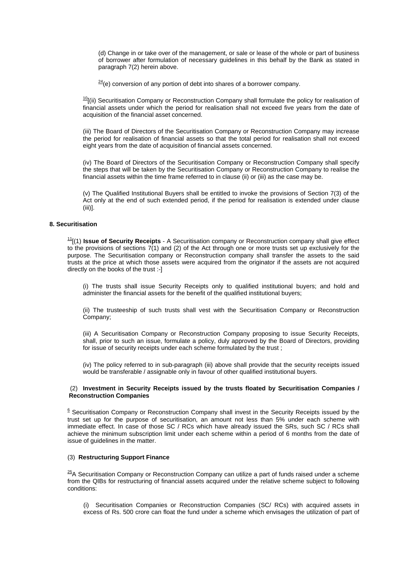(d) Change in or take over of the management, or sale or lease of the whole or part of business of borrower after formulation of necessary guidelines in this behalf by the Bank as stated in paragraph 7(2) herein above.

 $24$ (e) conversion of any portion of debt into shares of a borrower company.

 $10$ [(ii) Securitisation Company or Reconstruction Company shall formulate the policy for realisation of financial assets under which the period for realisation shall not exceed five years from the date of acquisition of the financial asset concerned.

(iii) The Board of Directors of the Securitisation Company or Reconstruction Company may increase the period for realisation of financial assets so that the total period for realisation shall not exceed eight years from the date of acquisition of financial assets concerned.

(iv) The Board of Directors of the Securitisation Company or Reconstruction Company shall specify the steps that will be taken by the Securitisation Company or Reconstruction Company to realise the financial assets within the time frame referred to in clause (ii) or (iii) as the case may be.

(v) The Qualified Institutional Buyers shall be entitled to invoke the provisions of Section 7(3) of the Act only at the end of such extended period, if the period for realisation is extended under clause (iii)].

## **8. Securitisation**

11[(1) **Issue of Security Receipts** - A Securitisation company or Reconstruction company shall give effect to the provisions of sections 7(1) and (2) of the Act through one or more trusts set up exclusively for the purpose. The Securitisation company or Reconstruction company shall transfer the assets to the said trusts at the price at which those assets were acquired from the originator if the assets are not acquired directly on the books of the trust :-]

(i) The trusts shall issue Security Receipts only to qualified institutional buyers; and hold and administer the financial assets for the benefit of the qualified institutional buyers;

(ii) The trusteeship of such trusts shall vest with the Securitisation Company or Reconstruction Company;

(iii) A Securitisation Company or Reconstruction Company proposing to issue Security Receipts, shall, prior to such an issue, formulate a policy, duly approved by the Board of Directors, providing for issue of security receipts under each scheme formulated by the trust ;

(iv) The policy referred to in sub-paragraph (iii) above shall provide that the security receipts issued would be transferable / assignable only in favour of other qualified institutional buyers.

#### (2) **Investment in Security Receipts issued by the trusts floated by Securitisation Companies / Reconstruction Companies**

 $6$  Securitisation Company or Reconstruction Company shall invest in the Security Receipts issued by the trust set up for the purpose of securitisation, an amount not less than 5% under each scheme with immediate effect. In case of those SC / RCs which have already issued the SRs, such SC / RCs shall achieve the minimum subscription limit under each scheme within a period of 6 months from the date of issue of guidelines in the matter.

## (3) **Restructuring Support Finance**

 $25$ A Securitisation Company or Reconstruction Company can utilize a part of funds raised under a scheme from the QIBs for restructuring of financial assets acquired under the relative scheme subject to following conditions:

(i) Securitisation Companies or Reconstruction Companies (SC/ RCs) with acquired assets in excess of Rs. 500 crore can float the fund under a scheme which envisages the utilization of part of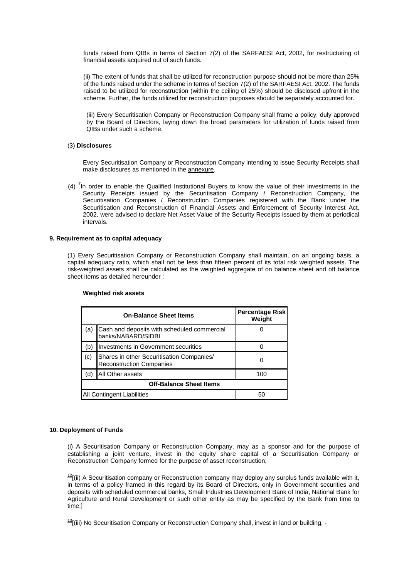funds raised from QIBs in terms of Section 7(2) of the SARFAESI Act, 2002, for restructuring of financial assets acquired out of such funds.

(ii) The extent of funds that shall be utilized for reconstruction purpose should not be more than 25% of the funds raised under the scheme in terms of Section 7(2) of the SARFAESI Act, 2002. The funds raised to be utilized for reconstruction (within the ceiling of 25%) should be disclosed upfront in the scheme. Further, the funds utilized for reconstruction purposes should be separately accounted for.

(iii) Every Securitisation Company or Reconstruction Company shall frame a policy, duly approved by the Board of Directors, laying down the broad parameters for utilization of funds raised from QIBs under such a scheme.

#### (3) **Disclosures**

Every Securitisation Company or Reconstruction Company intending to issue Security Receipts shall make disclosures as mentioned in the annexure.

(4)  $<sup>7</sup>$ In order to enable the Qualified Institutional Buyers to know the value of their investments in the</sup> Security Receipts issued by the Securitisation Company / Reconstruction Company, the Securitisation Companies / Reconstruction Companies registered with the Bank under the Securitisation and Reconstruction of Financial Assets and Enforcement of Security Interest Act, 2002, were advised to declare Net Asset Value of the Security Receipts issued by them at periodical intervals.

#### **9. Requirement as to capital adequacy**

(1) Every Securitisation Company or Reconstruction Company shall maintain, on an ongoing basis, a capital adequacy ratio, which shall not be less than fifteen percent of its total risk weighted assets. The risk-weighted assets shall be calculated as the weighted aggregate of on balance sheet and off balance sheet items as detailed hereunder :

|                                | <b>On-Balance Sheet Items</b>                                                | <b>Percentage Risk</b><br>Weight |  |
|--------------------------------|------------------------------------------------------------------------------|----------------------------------|--|
| (a)                            | Cash and deposits with scheduled commercial<br>banks/NABARD/SIDBI            |                                  |  |
| (b)                            | Investments in Government securities                                         |                                  |  |
| (c)                            | Shares in other Securitisation Companies/<br><b>Reconstruction Companies</b> |                                  |  |
| (d)                            | All Other assets                                                             | 100                              |  |
| <b>Off-Balance Sheet Items</b> |                                                                              |                                  |  |
| All Contingent Liabilities     |                                                                              | 50                               |  |

#### **Weighted risk assets**

#### **10. Deployment of Funds**

(i) A Securitisation Company or Reconstruction Company, may as a sponsor and for the purpose of establishing a joint venture, invest in the equity share capital of a Securitisation Company or Reconstruction Company formed for the purpose of asset reconstruction;

 $12$ [(ii) A Securitisation company or Reconstruction company may deploy any surplus funds available with it, in terms of a policy framed in this regard by its Board of Directors, only in Government securities and deposits with scheduled commercial banks, Small Industries Development Bank of India, National Bank for Agriculture and Rural Development or such other entity as may be specified by the Bank from time to time;]

 $^{13}$ [(iii) No Securitisation Company or Reconstruction Company shall, invest in land or building, -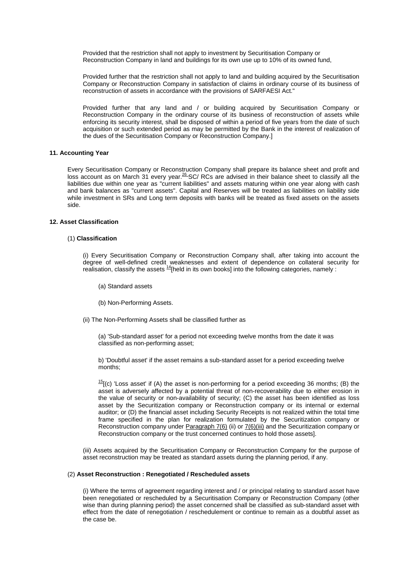Provided that the restriction shall not apply to investment by Securitisation Company or Reconstruction Company in land and buildings for its own use up to 10% of its owned fund,

Provided further that the restriction shall not apply to land and building acquired by the Securitisation Company or Reconstruction Company in satisfaction of claims in ordinary course of its business of reconstruction of assets in accordance with the provisions of SARFAESI Act."

Provided further that any land and / or building acquired by Securitisation Company or Reconstruction Company in the ordinary course of its business of reconstruction of assets while enforcing its security interest, shall be disposed of within a period of five years from the date of such acquisition or such extended period as may be permitted by the Bank in the interest of realization of the dues of the Securitisation Company or Reconstruction Company.]

#### **11. Accounting Year**

Every Securitisation Company or Reconstruction Company shall prepare its balance sheet and profit and loss account as on March 31 every year.<sup>26</sup> SC/ RCs are advised in their balance sheet to classify all the liabilities due within one year as "current liabilities" and assets maturing within one year along with cash and bank balances as "current assets". Capital and Reserves will be treated as liabilities on liability side while investment in SRs and Long term deposits with banks will be treated as fixed assets on the assets side.

## **12. Asset Classification**

#### (1) **Classification**

(i) Every Securitisation Company or Reconstruction Company shall, after taking into account the degree of well-defined credit weaknesses and extent of dependence on collateral security for realisation, classify the assets 14[held in its own books] into the following categories, namely :

(a) Standard assets

(b) Non-Performing Assets.

(ii) The Non-Performing Assets shall be classified further as

(a) 'Sub-standard asset' for a period not exceeding twelve months from the date it was classified as non-performing asset;

b) 'Doubtful asset' if the asset remains a sub-standard asset for a period exceeding twelve months;

 $^{15}$ [(c) 'Loss asset' if (A) the asset is non-performing for a period exceeding 36 months; (B) the asset is adversely affected by a potential threat of non-recoverability due to either erosion in the value of security or non-availability of security; (C) the asset has been identified as loss asset by the Securitization company or Reconstruction company or its internal or external auditor; or (D) the financial asset including Security Receipts is not realized within the total time frame specified in the plan for realization formulated by the Securitization company or Reconstruction company under Paragraph 7(6) (ii) or 7(6) (iii) and the Securitization company or Reconstruction company or the trust concerned continues to hold those assets].

(iii) Assets acquired by the Securitisation Company or Reconstruction Company for the purpose of asset reconstruction may be treated as standard assets during the planning period, if any.

#### (2) **Asset Reconstruction : Renegotiated / Rescheduled assets**

(i) Where the terms of agreement regarding interest and / or principal relating to standard asset have been renegotiated or rescheduled by a Securitisation Company or Reconstruction Company (other wise than during planning period) the asset concerned shall be classified as sub-standard asset with effect from the date of renegotiation / reschedulement or continue to remain as a doubtful asset as the case be.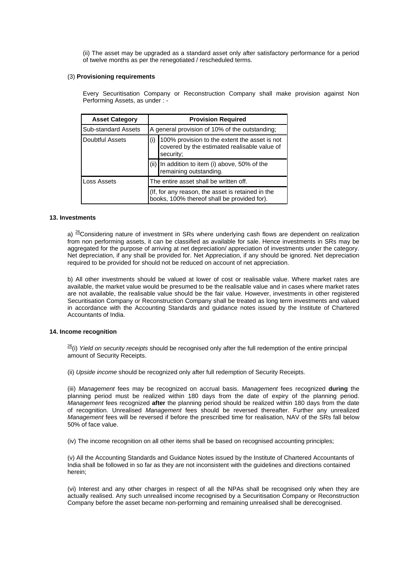(ii) The asset may be upgraded as a standard asset only after satisfactory performance for a period of twelve months as per the renegotiated / rescheduled terms.

#### (3) **Provisioning requirements**

Every Securitisation Company or Reconstruction Company shall make provision against Non Performing Assets, as under : -

| <b>Asset Category</b>      | <b>Provision Required</b>                                                                                         |  |  |
|----------------------------|-------------------------------------------------------------------------------------------------------------------|--|--|
| <b>Sub-standard Assets</b> | A general provision of 10% of the outstanding;                                                                    |  |  |
| Doubtful Assets            | (i)<br>100% provision to the extent the asset is not<br>covered by the estimated realisable value of<br>security; |  |  |
|                            | In addition to item (i) above, 50% of the<br>remaining outstanding.                                               |  |  |
| Loss Assets                | The entire asset shall be written off.                                                                            |  |  |
|                            | (If, for any reason, the asset is retained in the<br>books, 100% thereof shall be provided for).                  |  |  |

#### **13. Investments**

a) <sup>26</sup>Considering nature of investment in SRs where underlying cash flows are dependent on realization from non performing assets, it can be classified as available for sale. Hence investments in SRs may be aggregated for the purpose of arriving at net depreciation/ appreciation of investments under the category. Net depreciation, if any shall be provided for. Net Appreciation, if any should be ignored. Net depreciation required to be provided for should not be reduced on account of net appreciation.

b) All other investments should be valued at lower of cost or realisable value. Where market rates are available, the market value would be presumed to be the realisable value and in cases where market rates are not available, the realisable value should be the fair value. However, investments in other registered Securitisation Company or Reconstruction Company shall be treated as long term investments and valued in accordance with the Accounting Standards and guidance notes issued by the Institute of Chartered Accountants of India.

#### **14. Income recognition**

26(i) *Yield on security receipts* should be recognised only after the full redemption of the entire principal amount of Security Receipts.

(ii) *Upside income* should be recognized only after full redemption of Security Receipts.

(iii) *Management* fees may be recognized on accrual basis. *Management* fees recognized **during** the planning period must be realized within 180 days from the date of expiry of the planning period. *Management* fees recognized **after** the planning period should be realized within 180 days from the date of recognition. Unrealised *Management* fees should be reversed thereafter. Further any unrealized *Management* fees will be reversed if before the prescribed time for realisation, NAV of the SRs fall below 50% of face value.

(iv) The income recognition on all other items shall be based on recognised accounting principles;

(v) All the Accounting Standards and Guidance Notes issued by the Institute of Chartered Accountants of India shall be followed in so far as they are not inconsistent with the guidelines and directions contained herein;

(vi) Interest and any other charges in respect of all the NPAs shall be recognised only when they are actually realised. Any such unrealised income recognised by a Securitisation Company or Reconstruction Company before the asset became non-performing and remaining unrealised shall be derecognised.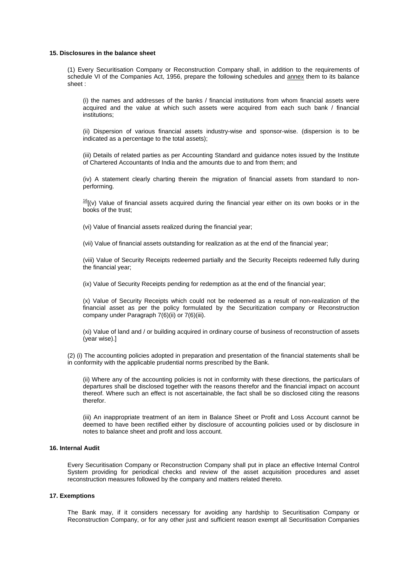#### **15. Disclosures in the balance sheet**

(1) Every Securitisation Company or Reconstruction Company shall, in addition to the requirements of schedule VI of the Companies Act, 1956, prepare the following schedules and annex them to its balance sheet :

(i) the names and addresses of the banks / financial institutions from whom financial assets were acquired and the value at which such assets were acquired from each such bank / financial institutions;

(ii) Dispersion of various financial assets industry-wise and sponsor-wise. (dispersion is to be indicated as a percentage to the total assets);

(iii) Details of related parties as per Accounting Standard and guidance notes issued by the Institute of Chartered Accountants of India and the amounts due to and from them; and

(iv) A statement clearly charting therein the migration of financial assets from standard to nonperforming.

 $16$ [(v) Value of financial assets acquired during the financial year either on its own books or in the books of the trust;

(vi) Value of financial assets realized during the financial year;

(vii) Value of financial assets outstanding for realization as at the end of the financial year;

(viii) Value of Security Receipts redeemed partially and the Security Receipts redeemed fully during the financial year;

(ix) Value of Security Receipts pending for redemption as at the end of the financial year;

(x) Value of Security Receipts which could not be redeemed as a result of non-realization of the financial asset as per the policy formulated by the Securitization company or Reconstruction company under Paragraph 7(6)(ii) or 7(6)(iii).

(xi) Value of land and / or building acquired in ordinary course of business of reconstruction of assets (year wise).]

(2) (i) The accounting policies adopted in preparation and presentation of the financial statements shall be in conformity with the applicable prudential norms prescribed by the Bank.

(ii) Where any of the accounting policies is not in conformity with these directions, the particulars of departures shall be disclosed together with the reasons therefor and the financial impact on account thereof. Where such an effect is not ascertainable, the fact shall be so disclosed citing the reasons therefor.

(iii) An inappropriate treatment of an item in Balance Sheet or Profit and Loss Account cannot be deemed to have been rectified either by disclosure of accounting policies used or by disclosure in notes to balance sheet and profit and loss account.

## **16. Internal Audit**

Every Securitisation Company or Reconstruction Company shall put in place an effective Internal Control System providing for periodical checks and review of the asset acquisition procedures and asset reconstruction measures followed by the company and matters related thereto.

## **17. Exemptions**

The Bank may, if it considers necessary for avoiding any hardship to Securitisation Company or Reconstruction Company, or for any other just and sufficient reason exempt all Securitisation Companies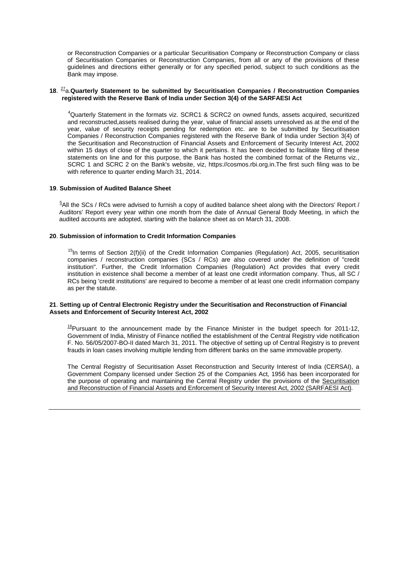or Reconstruction Companies or a particular Securitisation Company or Reconstruction Company or class of Securitisation Companies or Reconstruction Companies, from all or any of the provisions of these guidelines and directions either generally or for any specified period, subject to such conditions as the Bank may impose.

#### **18**. 27a.**Quarterly Statement to be submitted by Securitisation Companies / Reconstruction Companies registered with the Reserve Bank of India under Section 3(4) of the SARFAESI Act**

<sup>4</sup>Quarterly Statement in the formats viz. SCRC1 & SCRC2 on owned funds, assets acquired, securitized and reconstructed,assets realised during the year, value of financial assets unresolved as at the end of the year, value of security receipts pending for redemption etc. are to be submitted by Securitisation Companies / Reconstruction Companies registered with the Reserve Bank of India under Section 3(4) of the Securitisation and Reconstruction of Financial Assets and Enforcement of Security Interest Act, 2002 within 15 days of close of the quarter to which it pertains. It has been decided to facilitate filing of these statements on line and for this purpose, the Bank has hosted the combined format of the Returns viz., SCRC 1 and SCRC 2 on the Bank's website, viz, https://cosmos.rbi.org.in.The first such filing was to be with reference to quarter ending March 31, 2014.

#### **19**. **Submission of Audited Balance Sheet**

 $5$ All the SCs / RCs were advised to furnish a copy of audited balance sheet along with the Directors' Report / Auditors' Report every year within one month from the date of Annual General Body Meeting, in which the audited accounts are adopted, starting with the balance sheet as on March 31, 2008.

## **20**. **Submission of information to Credit Information Companies**

 $<sup>15</sup>$ In terms of Section  $2(f)(ii)$  of the Credit Information Companies (Regulation) Act, 2005, securitisation</sup> companies / reconstruction companies (SCs / RCs) are also covered under the definition of "credit institution". Further, the Credit Information Companies (Regulation) Act provides that every credit institution in existence shall become a member of at least one credit information company. Thus, all SC / RCs being 'credit institutions' are required to become a member of at least one credit information company as per the statute.

#### **21**. **Setting up of Central Electronic Registry under the Securitisation and Reconstruction of Financial Assets and Enforcement of Security Interest Act, 2002**

 $^{16}$ Pursuant to the announcement made by the Finance Minister in the budget speech for 2011-12, Government of India, Ministry of Finance notified the establishment of the Central Registry vide notification F. No. 56/05/2007-BO-II dated March 31, 2011. The objective of setting up of Central Registry is to prevent frauds in loan cases involving multiple lending from different banks on the same immovable property.

The Central Registry of Securitisation Asset Reconstruction and Security Interest of India (CERSAI), a Government Company licensed under Section 25 of the Companies Act, 1956 has been incorporated for the purpose of operating and maintaining the Central Registry under the provisions of the Securitisation and Reconstruction of Financial Assets and Enforcement of Security Interest Act, 2002 (SARFAESI Act).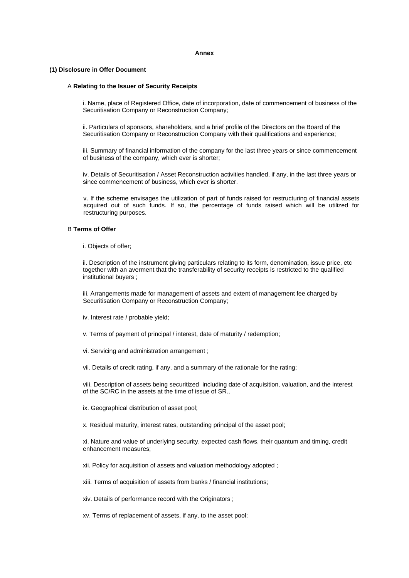#### **Annex**

#### **(1) Disclosure in Offer Document**

#### A **Relating to the Issuer of Security Receipts**

i. Name, place of Registered Office, date of incorporation, date of commencement of business of the Securitisation Company or Reconstruction Company;

ii. Particulars of sponsors, shareholders, and a brief profile of the Directors on the Board of the Securitisation Company or Reconstruction Company with their qualifications and experience;

iii. Summary of financial information of the company for the last three years or since commencement of business of the company, which ever is shorter;

iv. Details of Securitisation / Asset Reconstruction activities handled, if any, in the last three years or since commencement of business, which ever is shorter.

v. If the scheme envisages the utilization of part of funds raised for restructuring of financial assets acquired out of such funds. If so, the percentage of funds raised which will be utilized for restructuring purposes.

#### B **Terms of Offer**

i. Objects of offer;

ii. Description of the instrument giving particulars relating to its form, denomination, issue price, etc together with an averment that the transferability of security receipts is restricted to the qualified institutional buyers ;

iii. Arrangements made for management of assets and extent of management fee charged by Securitisation Company or Reconstruction Company;

iv. Interest rate / probable yield;

v. Terms of payment of principal / interest, date of maturity / redemption;

vi. Servicing and administration arrangement ;

vii. Details of credit rating, if any, and a summary of the rationale for the rating;

viii. Description of assets being securitized including date of acquisition, valuation, and the interest of the SC/RC in the assets at the time of issue of SR.,

ix. Geographical distribution of asset pool;

x. Residual maturity, interest rates, outstanding principal of the asset pool;

xi. Nature and value of underlying security, expected cash flows, their quantum and timing, credit enhancement measures;

xii. Policy for acquisition of assets and valuation methodology adopted ;

xiii. Terms of acquisition of assets from banks / financial institutions;

xiv. Details of performance record with the Originators ;

xv. Terms of replacement of assets, if any, to the asset pool;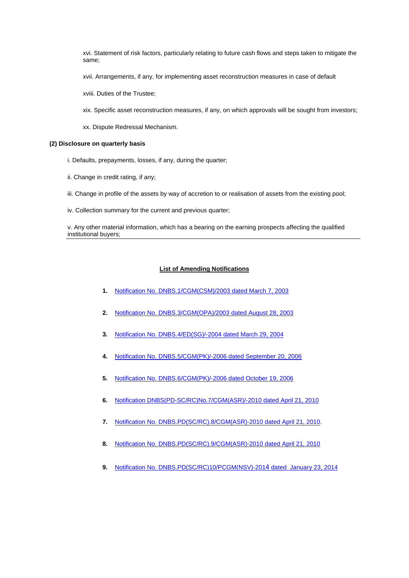xvi. Statement of risk factors, particularly relating to future cash flows and steps taken to mitigate the same;

xvii. Arrangements, if any, for implementing asset reconstruction measures in case of default

xviii. Duties of the Trustee;

- xix. Specific asset reconstruction measures, if any, on which approvals will be sought from investors;
- xx. Dispute Redressal Mechanism.

#### **(2) Disclosure on quarterly basis**

- i. Defaults, prepayments, losses, if any, during the quarter;
- ii. Change in credit rating, if any;
- iii. Change in profile of the assets by way of accretion to or realisation of assets from the existing pool;
- iv. Collection summary for the current and previous quarter;

v. Any other material information, which has a bearing on the earning prospects affecting the qualified institutional buyers;

#### **List of Amending Notifications**

- **1.** [Notification No. DNBS.1/CGM\(CSM\)/2003 dated March 7, 2003](http://rbidocs.rbi.org.in/rdocs/notification/PDFs/35915.pdf)
- **2.** [Notification No. DNBS.3/CGM\(OPA\)/2003 dated August 28, 2003](http://rbi.org.in/scripts/NotificationUser.aspx?Id=1317&Mode=0)
- **3.** [Notification No. DNBS.4/ED\(SG\)/-2004 dated March 29, 2004](http://rbi.org.in/scripts/NotificationUser.aspx?Id=1554&Mode=0)
- **4.** [Notification No. DNBS.5/CGM\(PK\)/-2006 dated September 20, 2006](http://www.rbi.org.in/scripts/NotificationUser.aspx?Id=3096&Mode=0)
- **5.** [Notification No. DNBS.6/CGM\(PK\)/-2006 dated October 19, 2006](http://www.rbi.org.in/scripts/NotificationUser.aspx?Id=3127&Mode=0)
- **6.** [Notification DNBS\(PD-SC/RC\)No.7/CGM\(ASR\)/-2010 dated April 21, 2010](http://www.rbi.org.in/scripts/NotificationUser.aspx?Id=5616&Mode=0#2)
- **7.** [Notification No. DNBS.PD\(SC/RC\).8/CGM\(ASR\)-2010 dated April 21, 2010](http://rbi.org.in/scripts/NotificationUser.aspx?Id=5614&Mode=0#R).
- **8.** [Notification No. DNBS.PD\(SC/RC\).9/CGM\(ASR\)-2010 dated April 21, 2010](http://rbi.org.in/scripts/NotificationUser.aspx?Id=5613&Mode=0#R)
- **9.** [Notification No. DNBS.PD\(SC/RC\)10/PCGM\(NSV\)-201](http://rbi.org.in/scripts/NotificationUser.aspx?Id=8707&Mode=0#Noti)4 dated January 23, 2014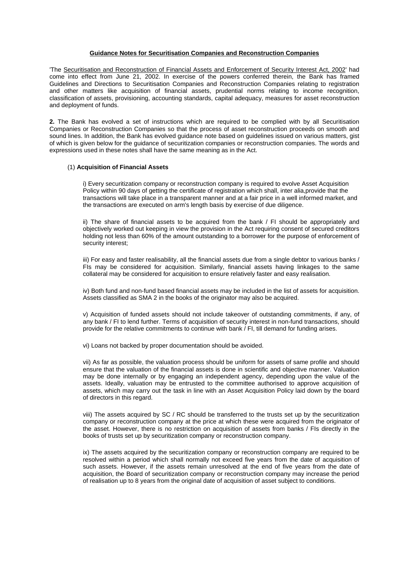#### **Guidance Notes for Securitisation Companies and Reconstruction Companies**

'The Securitisation and Reconstruction of Financial Assets and Enforcement of Security Interest Act, 2002' had come into effect from June 21, 2002. In exercise of the powers conferred therein, the Bank has framed Guidelines and Directions to Securitisation Companies and Reconstruction Companies relating to registration and other matters like acquisition of financial assets, prudential norms relating to income recognition, classification of assets, provisioning, accounting standards, capital adequacy, measures for asset reconstruction and deployment of funds.

**2.** The Bank has evolved a set of instructions which are required to be complied with by all Securitisation Companies or Reconstruction Companies so that the process of asset reconstruction proceeds on smooth and sound lines. In addition, the Bank has evolved guidance note based on guidelines issued on various matters, gist of which is given below for the guidance of securitization companies or reconstruction companies. The words and expressions used in these notes shall have the same meaning as in the Act.

#### (1) **Acquisition of Financial Assets**

i) Every securitization company or reconstruction company is required to evolve Asset Acquisition Policy within 90 days of getting the certificate of registration which shall, inter alia,provide that the transactions will take place in a transparent manner and at a fair price in a well informed market, and the transactions are executed on arm's length basis by exercise of due diligence.

ii) The share of financial assets to be acquired from the bank / FI should be appropriately and objectively worked out keeping in view the provision in the Act requiring consent of secured creditors holding not less than 60% of the amount outstanding to a borrower for the purpose of enforcement of security interest;

iii) For easy and faster realisability, all the financial assets due from a single debtor to various banks / FIs may be considered for acquisition. Similarly, financial assets having linkages to the same collateral may be considered for acquisition to ensure relatively faster and easy realisation.

iv) Both fund and non-fund based financial assets may be included in the list of assets for acquisition. Assets classified as SMA 2 in the books of the originator may also be acquired.

v) Acquisition of funded assets should not include takeover of outstanding commitments, if any, of any bank / FI to lend further. Terms of acquisition of security interest in non-fund transactions, should provide for the relative commitments to continue with bank / FI, till demand for funding arises.

vi) Loans not backed by proper documentation should be avoided.

vii) As far as possible, the valuation process should be uniform for assets of same profile and should ensure that the valuation of the financial assets is done in scientific and objective manner. Valuation may be done internally or by engaging an independent agency, depending upon the value of the assets. Ideally, valuation may be entrusted to the committee authorised to approve acquisition of assets, which may carry out the task in line with an Asset Acquisition Policy laid down by the board of directors in this regard.

viii) The assets acquired by SC / RC should be transferred to the trusts set up by the securitization company or reconstruction company at the price at which these were acquired from the originator of the asset. However, there is no restriction on acquisition of assets from banks / FIs directly in the books of trusts set up by securitization company or reconstruction company.

ix) The assets acquired by the securitization company or reconstruction company are required to be resolved within a period which shall normally not exceed five years from the date of acquisition of such assets. However, if the assets remain unresolved at the end of five years from the date of acquisition, the Board of securitization company or reconstruction company may increase the period of realisation up to 8 years from the original date of acquisition of asset subject to conditions.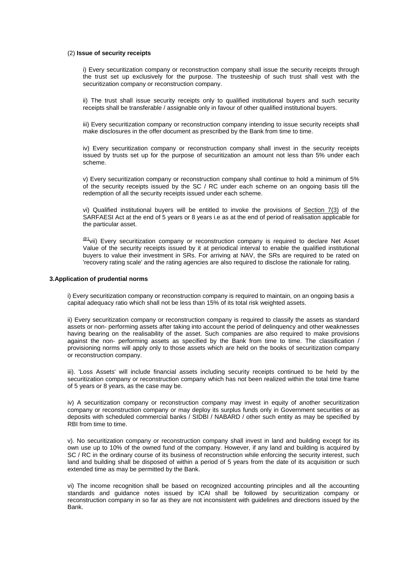#### (2) **Issue of security receipts**

i) Every securitization company or reconstruction company shall issue the security receipts through the trust set up exclusively for the purpose. The trusteeship of such trust shall vest with the securitization company or reconstruction company.

ii) The trust shall issue security receipts only to qualified institutional buyers and such security receipts shall be transferable / assignable only in favour of other qualified institutional buyers.

iii) Every securitization company or reconstruction company intending to issue security receipts shall make disclosures in the offer document as prescribed by the Bank from time to time.

iv) Every securitization company or reconstruction company shall invest in the security receipts issued by trusts set up for the purpose of securitization an amount not less than 5% under each scheme.

v) Every securitization company or reconstruction company shall continue to hold a minimum of 5% of the security receipts issued by the SC / RC under each scheme on an ongoing basis till the redemption of all the security receipts issued under each scheme.

vi) Qualified institutional buyers will be entitled to invoke the provisions of Section 7(3) of the SARFAESI Act at the end of 5 years or 8 years i.e as at the end of period of realisation applicable for the particular asset.

 $@1$ vii) Every securitization company or reconstruction company is required to declare Net Asset Value of the security receipts issued by it at periodical interval to enable the qualified institutional buyers to value their investment in SRs. For arriving at NAV, the SRs are required to be rated on 'recovery rating scale' and the rating agencies are also required to disclose the rationale for rating.

## **3.Application of prudential norms**

i) Every securitization company or reconstruction company is required to maintain, on an ongoing basis a capital adequacy ratio which shall not be less than 15% of its total risk weighted assets.

ii) Every securitization company or reconstruction company is required to classify the assets as standard assets or non- performing assets after taking into account the period of delinquency and other weaknesses having bearing on the realisability of the asset. Such companies are also required to make provisions against the non- performing assets as specified by the Bank from time to time. The classification / provisioning norms will apply only to those assets which are held on the books of securitization company or reconstruction company.

iii). 'Loss Assets' will include financial assets including security receipts continued to be held by the securitization company or reconstruction company which has not been realized within the total time frame of 5 years or 8 years, as the case may be.

iv) A securitization company or reconstruction company may invest in equity of another securitization company or reconstruction company or may deploy its surplus funds only in Government securities or as deposits with scheduled commercial banks / SIDBI / NABARD / other such entity as may be specified by RBI from time to time.

v). No securitization company or reconstruction company shall invest in land and building except for its own use up to 10% of the owned fund of the company. However, if any land and building is acquired by SC / RC in the ordinary course of its business of reconstruction while enforcing the security interest, such land and building shall be disposed of within a period of 5 years from the date of its acquisition or such extended time as may be permitted by the Bank.

vi) The income recognition shall be based on recognized accounting principles and all the accounting standards and guidance notes issued by ICAI shall be followed by securitization company or reconstruction company in so far as they are not inconsistent with guidelines and directions issued by the Bank.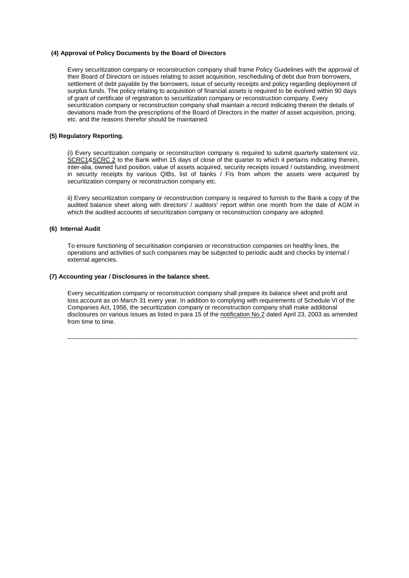#### **(4) Approval of Policy Documents by the Board of Directors**

Every securitization company or reconstruction company shall frame Policy Guidelines with the approval of their Board of Directors on issues relating to asset acquisition, rescheduling of debt due from borrowers, settlement of debt payable by the borrowers, issue of security receipts and policy regarding deployment of surplus funds. The policy relating to acquisition of financial assets is required to be evolved within 90 days of grant of certificate of registration to securitization company or reconstruction company. Every securitization company or reconstruction company shall maintain a record indicating therein the details of deviations made from the prescriptions of the Board of Directors in the matter of asset acquisition, pricing, etc. and the reasons therefor should be maintained.

#### **(5) Regulatory Reporting.**

(i) Every securitization company or reconstruction company is required to submit quarterly statement viz. SCRC1&SCRC 2 to the Bank within 15 days of close of the quarter to which it pertains indicating therein, inter-alia, owned fund position, value of assets acquired, security receipts issued / outstanding, investment in security receipts by various QIBs, list of banks / FIs from whom the assets were acquired by securitization company or reconstruction company etc.

ii) Every securitization company or reconstruction company is required to furnish to the Bank a copy of the audited balance sheet along with directors' / auditors' report within one month from the date of AGM in which the audited accounts of securitization company or reconstruction company are adopted.

## **(6) Internal Audit**

To ensure functioning of securitisation companies or reconstruction companies on healthy lines, the operations and activities of such companies may be subjected to periodic audit and checks by internal / external agencies.

## **(7) Accounting year / Disclosures in the balance sheet.**

Every securitization company or reconstruction company shall prepare its balance sheet and profit and loss account as on March 31 every year. In addition to complying with requirements of Schedule VI of the Companies Act, 1956, the securitization company or reconstruction company shall make additional disclosures on various issues as listed in para 15 of the notification No.2 dated April 23, 2003 as amended from time to time.

---------------------------------------------------------------------------------------------------------------------------------------------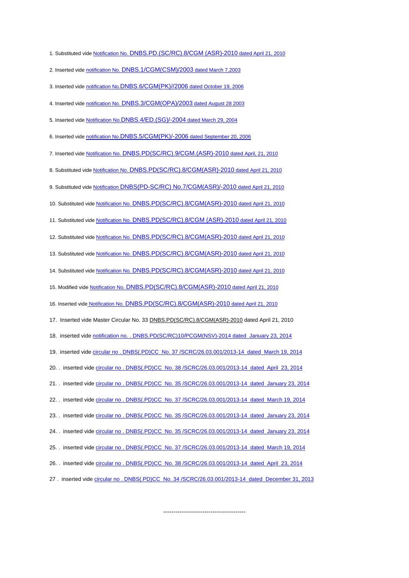1. Substituted vide [Notification No. DNBS.PD.\(SC/RC\).8/CGM \(ASR\)-2010 dated April 21, 2010](http://rbi.org.in/scripts/NotificationUser.aspx?Id=5614&Mode=0#R) 2. Inserted vide [notification No. DNBS.1/CGM\(CSM\)/2003 dated March 7,2003](http://rbidocs.rbi.org.in/rdocs/notification/PDFs/35915.pdf) 3. Inserted vide [notification No.DNBS.6/CGM\(PK\)//2006 dated October 19, 2006](http://www.rbi.org.in/scripts/NotificationUser.aspx?Id=3127&Mode=0) 4. Inserted vide [notification No. DNBS.3/CGM\(OPA\)/2003 dated August 28 2003](http://www.rbi.org.in/scripts/NotificationUser.aspx?Id=1317&Mode=0) 5. Inserted vide [Notification No.DNBS.4/ED.\(SG\)/-2004 dated March 29, 2004](http://www.rbi.org.in/scripts/NotificationUser.aspx?Id=1554&Mode=0) 6. Inserted vide [notification No.DNBS.5/CGM\(PK\)/-2006 dated September 20, 2006](http://www.rbi.org.in/scripts/NotificationUser.aspx?Id=3096&Mode=0) 7. Inserted vide [Notification No. DNBS.PD\(SC/RC\).9/CGM.\(ASR\)-2010 dated April, 21, 2010](http://www.rbi.org.in/scripts/NotificationUser.aspx?Id=5613&Mode=0#R) 8. Substituted vide [Notification No. DNBS.PD\(SC/RC\).8/CGM\(ASR\)-2010 dated April 21, 2010](http://www.rbi.org.in/scripts/NotificationUser.aspx?Id=5614&Mode=0#R) 9. Substituted vide [Notification DNBS\(PD-SC/RC\) No.7/CGM\(ASR\)/-2010 dated April 21, 2010](http://www.rbi.org.in/scripts/NotificationUser.aspx?Id=5616&Mode=0#2) 10. Substituted vide [Notification No. DNBS.PD\(SC/RC\).8/CGM\(ASR\)-2010 dated April 21, 2010](http://www.rbi.org.in/scripts/NotificationUser.aspx?Id=5614&Mode=0#R) 11. Substituted vide [Notification No. DNBS.PD\(SC/RC\).8/CGM \(ASR\)-2010 dated April 21, 2010](http://www.rbi.org.in/scripts/NotificationUser.aspx?Id=5614&Mode=0#R) 12. Substituted vide [Notification No. DNBS.PD\(SC/RC\).8/CGM\(ASR\)-2010 dated April 21, 2010](http://www.rbi.org.in/scripts/NotificationUser.aspx?Id=5614&Mode=0#R) 13. Substituted vide [Notification No. DNBS.PD\(SC/RC\).8/CGM\(ASR\)-2010 dated April 21, 2010](http://www.rbi.org.in/scripts/NotificationUser.aspx?Id=5614&Mode=0#R) 14. Substituted vide [Notification No. DNBS.PD\(SC/RC\).8/CGM\(ASR\)-2010 dated April 21, 2010](http://www.rbi.org.in/scripts/NotificationUser.aspx?Id=5614&Mode=0#R) 15. Modified vide [Notification No. DNBS.PD\(SC/RC\).8/CGM\(ASR\)-2010 dated April 21, 2010](http://www.rbi.org.in/scripts/NotificationUser.aspx?Id=5614&Mode=0#R) 16. Inserted vid[e Notification No. DNBS.PD\(SC/RC\).8/CGM\(ASR\)-2010 dated April 21, 2010](http://www.rbi.org.in/scripts/NotificationUser.aspx?Id=5614&Mode=0#R) 17. Inserted vide Master Circular No. 33 DNBS.PD(SC/RC).8/CGM(ASR)-2010 dated April 21, 2010 18. inserted vide [notification no. . DNBS.PD\(SC/RC\)10/PCGM\(NSV\)-2014 dated January 23, 2014](http://www.rbi.org.in/scripts/NotificationUser.aspx?Id=8707&Mode=0#Noti) 19. inserted vide [circular no . DNBS\(.PD\)CC No. 37 /SCRC/26.03.001/2013-14 dated March 19, 2014](http://www.rbi.org.in/scripts/NotificationUser.aspx?Id=8776&Mode=0) 20. . inserted vide [circular no . DNBS\(.PD\)CC No. 38 /SCRC/26.03.001/2013-14 dated April 23, 2014](http://www.rbi.org.in/scripts/NotificationUser.aspx?Id=8849&Mode=0) 21. . inserted vide [circular no . DNBS\(.PD\)CC No. 35 /SCRC/26.03.001/2013-14 dated January 23, 2014](http://www.rbi.org.in/scripts/NotificationUser.aspx?Id=8707&Mode=0) 22. . inserted vide [circular no . DNBS\(.PD\)CC No. 37 /SCRC/26.03.001/2013-14 dated March 19, 2014](http://www.rbi.org.in/scripts/NotificationUser.aspx?Id=8776&Mode=0) 23. . inserted vide [circular no . DNBS\(.PD\)CC No. 35 /SCRC/26.03.001/2013-14 dated January 23, 2014](http://www.rbi.org.in/scripts/NotificationUser.aspx?Id=8707&Mode=0) 24. . inserted vide [circular no . DNBS\(.PD\)CC No. 35 /SCRC/26.03.001/2013-14 dated January 23, 2014](http://www.rbi.org.in/scripts/NotificationUser.aspx?Id=8707&Mode=0) 25. . inserted vide [circular no . DNBS\(.PD\)CC No. 37 /SCRC/26.03.001/2013-14 dated March 19, 2014](http://rbi.org.in/scripts/NotificationUser.aspx?Id=8776&Mode=0) 26. . inserted vide [circular no . DNBS\(.PD\)CC No. 38 /SCRC/26.03.001/2013-14 dated April 23, 2014](http://rbi.org.in/scripts/NotificationUser.aspx?Id=8849&Mode=0) 27 . inserted vide [circular no . DNBS\(.PD\)CC No. 34 /SCRC/26.03.001/2013-14 dated December 31, 2013](http://rbi.org.in/scripts/NotificationUser.aspx?Id=8660&Mode=0)

----------------------------------------